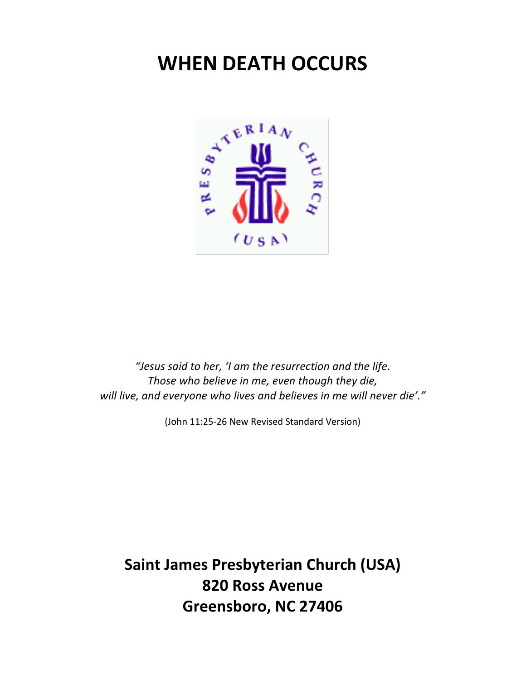# **WHEN DEATH OCCURS**



"Jesus said to her, 'I am the resurrection and the life. Those who believe in me, even though they die, will live, and everyone who lives and believes in me will never die'."

(John 11:25-26 New Revised Standard Version)

**Saint James Presbyterian Church (USA) 820 Ross Avenue Greensboro, NC 27406**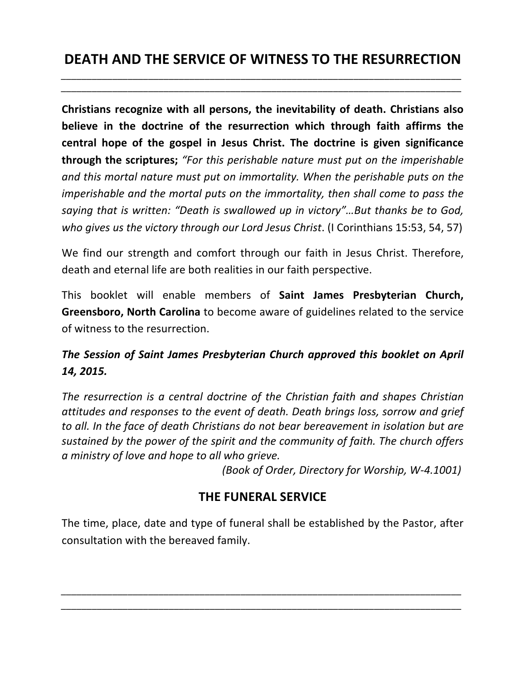*\_\_\_\_\_\_\_\_\_\_\_\_\_\_\_\_\_\_\_\_\_\_\_\_\_\_\_\_\_\_\_\_\_\_\_\_\_\_\_\_\_\_\_\_\_\_\_\_\_\_\_\_\_\_\_\_\_\_\_\_\_\_\_\_\_\_\_\_\_\_\_\_\_\_\_\_\_\_*

**Christians recognize with all persons, the inevitability of death. Christians also believe in the doctrine of the resurrection which through faith affirms the central hope of the gospel in Jesus Christ. The doctrine is given significance through the scriptures;** "For this perishable nature must put on the imperishable and this mortal nature must put on immortality. When the perishable puts on the *imperishable and the mortal puts on the immortality, then shall come to pass the saying* that is written: "Death is swallowed up in victory"...But thanks be to God, *who gives us the victory through our Lord Jesus Christ.* (I Corinthians 15:53, 54, 57)

We find our strength and comfort through our faith in Jesus Christ. Therefore, death and eternal life are both realities in our faith perspective.

This booklet will enable members of **Saint James Presbyterian Church, Greensboro, North Carolina** to become aware of guidelines related to the service of witness to the resurrection.

# The Session of Saint James Presbyterian Church approved this booklet on April *14, 2015.*

The resurrection is a central doctrine of the Christian faith and shapes Christian attitudes and responses to the event of death. Death brings loss, sorrow and grief *to all.* In the face of death Christians do not bear bereavement in isolation but are sustained by the power of the spirit and the community of faith. The church offers *a ministry of love and hope to all who grieve.*

*(Book of Order, Directory for Worship, W-4.1001)* 

### **THE FUNERAL SERVICE**

The time, place, date and type of funeral shall be established by the Pastor, after consultation with the bereaved family.

*\_\_\_\_\_\_\_\_\_\_\_\_\_\_\_\_\_\_\_\_\_\_\_\_\_\_\_\_\_\_\_\_\_\_\_\_\_\_\_\_\_\_\_\_\_\_\_\_\_\_\_\_\_\_\_\_\_\_\_\_\_\_\_\_\_\_\_\_\_\_\_\_\_\_\_\_\_\_ \_\_\_\_\_\_\_\_\_\_\_\_\_\_\_\_\_\_\_\_\_\_\_\_\_\_\_\_\_\_\_\_\_\_\_\_\_\_\_\_\_\_\_\_\_\_\_\_\_\_\_\_\_\_\_\_\_\_\_\_\_\_\_\_\_\_\_\_\_\_\_\_\_\_\_\_\_\_*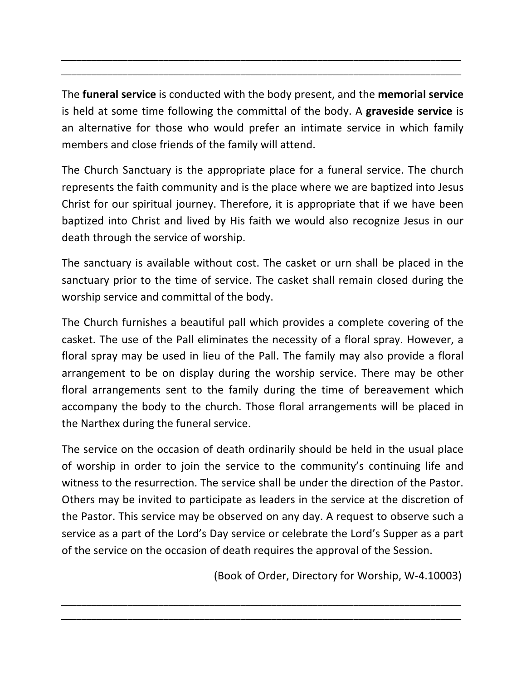The **funeral service** is conducted with the body present, and the **memorial service** is held at some time following the committal of the body. A **graveside service** is an alternative for those who would prefer an intimate service in which family members and close friends of the family will attend.

*\_\_\_\_\_\_\_\_\_\_\_\_\_\_\_\_\_\_\_\_\_\_\_\_\_\_\_\_\_\_\_\_\_\_\_\_\_\_\_\_\_\_\_\_\_\_\_\_\_\_\_\_\_\_\_\_\_\_\_\_\_\_\_\_\_\_\_\_\_\_\_\_\_\_\_\_\_\_ \_\_\_\_\_\_\_\_\_\_\_\_\_\_\_\_\_\_\_\_\_\_\_\_\_\_\_\_\_\_\_\_\_\_\_\_\_\_\_\_\_\_\_\_\_\_\_\_\_\_\_\_\_\_\_\_\_\_\_\_\_\_\_\_\_\_\_\_\_\_\_\_\_\_\_\_\_\_*

The Church Sanctuary is the appropriate place for a funeral service. The church represents the faith community and is the place where we are baptized into Jesus Christ for our spiritual journey. Therefore, it is appropriate that if we have been baptized into Christ and lived by His faith we would also recognize Jesus in our death through the service of worship.

The sanctuary is available without cost. The casket or urn shall be placed in the sanctuary prior to the time of service. The casket shall remain closed during the worship service and committal of the body.

The Church furnishes a beautiful pall which provides a complete covering of the casket. The use of the Pall eliminates the necessity of a floral spray. However, a floral spray may be used in lieu of the Pall. The family may also provide a floral arrangement to be on display during the worship service. There may be other floral arrangements sent to the family during the time of bereavement which accompany the body to the church. Those floral arrangements will be placed in the Narthex during the funeral service.

The service on the occasion of death ordinarily should be held in the usual place of worship in order to join the service to the community's continuing life and witness to the resurrection. The service shall be under the direction of the Pastor. Others may be invited to participate as leaders in the service at the discretion of the Pastor. This service may be observed on any day. A request to observe such a service as a part of the Lord's Day service or celebrate the Lord's Supper as a part of the service on the occasion of death requires the approval of the Session.

*\_\_\_\_\_\_\_\_\_\_\_\_\_\_\_\_\_\_\_\_\_\_\_\_\_\_\_\_\_\_\_\_\_\_\_\_\_\_\_\_\_\_\_\_\_\_\_\_\_\_\_\_\_\_\_\_\_\_\_\_\_\_\_\_\_\_\_\_\_\_\_\_\_\_\_\_\_\_ \_\_\_\_\_\_\_\_\_\_\_\_\_\_\_\_\_\_\_\_\_\_\_\_\_\_\_\_\_\_\_\_\_\_\_\_\_\_\_\_\_\_\_\_\_\_\_\_\_\_\_\_\_\_\_\_\_\_\_\_\_\_\_\_\_\_\_\_\_\_\_\_\_\_\_\_\_\_*

(Book of Order, Directory for Worship, W-4.10003)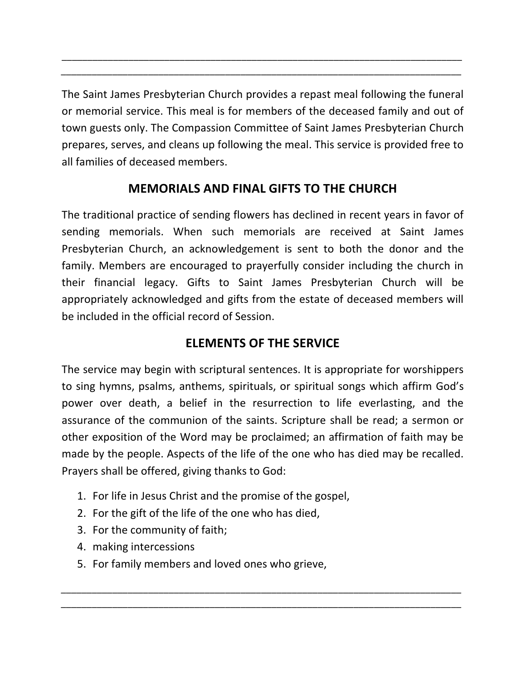The Saint James Presbyterian Church provides a repast meal following the funeral or memorial service. This meal is for members of the deceased family and out of town guests only. The Compassion Committee of Saint James Presbyterian Church prepares, serves, and cleans up following the meal. This service is provided free to all families of deceased members.

\_\_\_\_\_\_\_\_\_\_\_\_\_\_\_\_\_\_\_\_\_\_\_\_\_\_\_\_\_\_\_\_\_\_\_\_\_\_\_\_\_\_\_\_\_\_\_\_\_\_\_\_\_\_\_\_\_\_\_\_\_\_\_\_\_\_\_\_\_\_\_\_\_\_\_\_\_\_ *\_\_\_\_\_\_\_\_\_\_\_\_\_\_\_\_\_\_\_\_\_\_\_\_\_\_\_\_\_\_\_\_\_\_\_\_\_\_\_\_\_\_\_\_\_\_\_\_\_\_\_\_\_\_\_\_\_\_\_\_\_\_\_\_\_\_\_\_\_\_\_\_\_\_\_\_\_\_*

# **MEMORIALS AND FINAL GIFTS TO THE CHURCH**

The traditional practice of sending flowers has declined in recent years in favor of sending memorials. When such memorials are received at Saint James Presbyterian Church, an acknowledgement is sent to both the donor and the family. Members are encouraged to prayerfully consider including the church in their financial legacy. Gifts to Saint James Presbyterian Church will be appropriately acknowledged and gifts from the estate of deceased members will be included in the official record of Session.

# **ELEMENTS OF THE SERVICE**

The service may begin with scriptural sentences. It is appropriate for worshippers to sing hymns, psalms, anthems, spirituals, or spiritual songs which affirm God's power over death, a belief in the resurrection to life everlasting, and the assurance of the communion of the saints. Scripture shall be read; a sermon or other exposition of the Word may be proclaimed; an affirmation of faith may be made by the people. Aspects of the life of the one who has died may be recalled. Prayers shall be offered, giving thanks to God:

*\_\_\_\_\_\_\_\_\_\_\_\_\_\_\_\_\_\_\_\_\_\_\_\_\_\_\_\_\_\_\_\_\_\_\_\_\_\_\_\_\_\_\_\_\_\_\_\_\_\_\_\_\_\_\_\_\_\_\_\_\_\_\_\_\_\_\_\_\_\_\_\_\_\_\_\_\_\_ \_\_\_\_\_\_\_\_\_\_\_\_\_\_\_\_\_\_\_\_\_\_\_\_\_\_\_\_\_\_\_\_\_\_\_\_\_\_\_\_\_\_\_\_\_\_\_\_\_\_\_\_\_\_\_\_\_\_\_\_\_\_\_\_\_\_\_\_\_\_\_\_\_\_\_\_\_\_*

- 1. For life in Jesus Christ and the promise of the gospel,
- 2. For the gift of the life of the one who has died,
- 3. For the community of faith;
- 4. making intercessions
- 5. For family members and loved ones who grieve,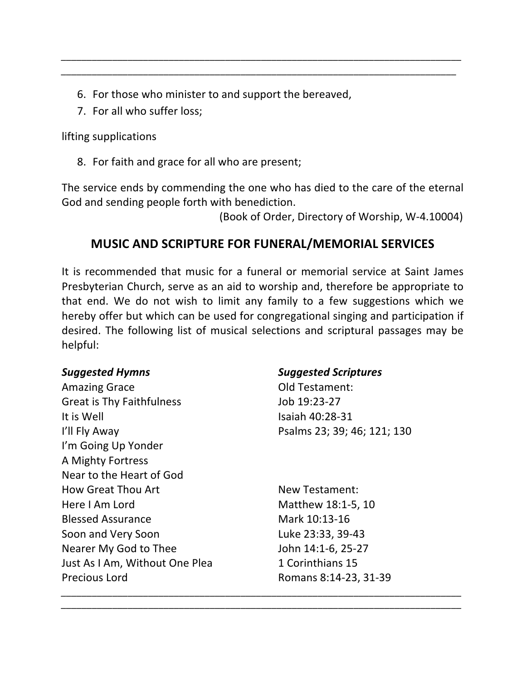- 6. For those who minister to and support the bereaved,
- 7. For all who suffer loss:

lifting supplications

8. For faith and grace for all who are present;

The service ends by commending the one who has died to the care of the eternal God and sending people forth with benediction.

*\_\_\_\_\_\_\_\_\_\_\_\_\_\_\_\_\_\_\_\_\_\_\_\_\_\_\_\_\_\_\_\_\_\_\_\_\_\_\_\_\_\_\_\_\_\_\_\_\_\_\_\_\_\_\_\_\_\_\_\_\_\_\_\_\_\_\_\_\_\_\_\_\_\_\_\_\_\_ \_\_\_\_\_\_\_\_\_\_\_\_\_\_\_\_\_\_\_\_\_\_\_\_\_\_\_\_\_\_\_\_\_\_\_\_\_\_\_\_\_\_\_\_\_\_\_\_\_\_\_\_\_\_\_\_\_\_\_\_\_\_\_\_\_\_\_\_\_\_\_\_\_\_\_\_\_*

 (Book of Order, Directory of Worship, W-4.10004) 

# **MUSIC AND SCRIPTURE FOR FUNERAL/MEMORIAL SERVICES**

It is recommended that music for a funeral or memorial service at Saint James Presbyterian Church, serve as an aid to worship and, therefore be appropriate to that end. We do not wish to limit any family to a few suggestions which we hereby offer but which can be used for congregational singing and participation if desired. The following list of musical selections and scriptural passages may be helpful:

*\_\_\_\_\_\_\_\_\_\_\_\_\_\_\_\_\_\_\_\_\_\_\_\_\_\_\_\_\_\_\_\_\_\_\_\_\_\_\_\_\_\_\_\_\_\_\_\_\_\_\_\_\_\_\_\_\_\_\_\_\_\_\_\_\_\_\_\_\_\_\_\_\_\_\_\_\_\_ \_\_\_\_\_\_\_\_\_\_\_\_\_\_\_\_\_\_\_\_\_\_\_\_\_\_\_\_\_\_\_\_\_\_\_\_\_\_\_\_\_\_\_\_\_\_\_\_\_\_\_\_\_\_\_\_\_\_\_\_\_\_\_\_\_\_\_\_\_\_\_\_\_\_\_\_\_\_*

Amazing Grace **Old Testament:** Great is Thy Faithfulness Job 19:23-27 It is Well  $\sim$  15 and 10:28-31 I'll Fly Away Psalms 23; 39; 46; 121; 130 I'm Going Up Yonder A Mighty Fortress Near to the Heart of God How Great Thou Art New Testament: Here I Am Lord Matthew 18:1-5, 10 Blessed Assurance Mark 10:13-16 Soon and Very Soon **Luke 23:33, 39-43** Nearer My God to Thee John 14:1-6, 25-27 Just As I Am, Without One Plea 1 Corinthians 15 Precious Lord **Romans 8:14-23, 31-39** 

#### *Suggested Hymns Suggested Scriptures*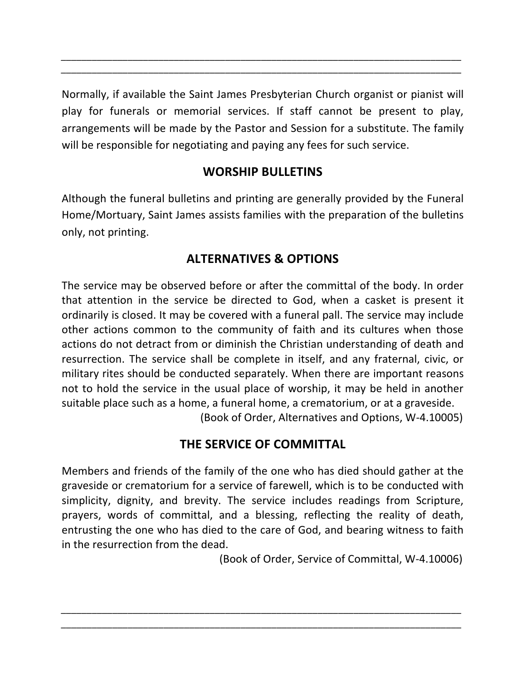Normally, if available the Saint James Presbyterian Church organist or pianist will play for funerals or memorial services. If staff cannot be present to play, arrangements will be made by the Pastor and Session for a substitute. The family will be responsible for negotiating and paying any fees for such service.

*\_\_\_\_\_\_\_\_\_\_\_\_\_\_\_\_\_\_\_\_\_\_\_\_\_\_\_\_\_\_\_\_\_\_\_\_\_\_\_\_\_\_\_\_\_\_\_\_\_\_\_\_\_\_\_\_\_\_\_\_\_\_\_\_\_\_\_\_\_\_\_\_\_\_\_\_\_\_ \_\_\_\_\_\_\_\_\_\_\_\_\_\_\_\_\_\_\_\_\_\_\_\_\_\_\_\_\_\_\_\_\_\_\_\_\_\_\_\_\_\_\_\_\_\_\_\_\_\_\_\_\_\_\_\_\_\_\_\_\_\_\_\_\_\_\_\_\_\_\_\_\_\_\_\_\_\_*

### **WORSHIP BULLETINS**

Although the funeral bulletins and printing are generally provided by the Funeral Home/Mortuary, Saint James assists families with the preparation of the bulletins only, not printing.

# **ALTERNATIVES & OPTIONS**

The service may be observed before or after the committal of the body. In order that attention in the service be directed to God, when a casket is present it ordinarily is closed. It may be covered with a funeral pall. The service may include other actions common to the community of faith and its cultures when those actions do not detract from or diminish the Christian understanding of death and resurrection. The service shall be complete in itself, and any fraternal, civic, or military rites should be conducted separately. When there are important reasons not to hold the service in the usual place of worship, it may be held in another suitable place such as a home, a funeral home, a crematorium, or at a graveside. (Book of Order, Alternatives and Options, W-4.10005)

# **THE SERVICE OF COMMITTAL**

Members and friends of the family of the one who has died should gather at the graveside or crematorium for a service of farewell, which is to be conducted with simplicity, dignity, and brevity. The service includes readings from Scripture, prayers, words of committal, and a blessing, reflecting the reality of death, entrusting the one who has died to the care of God, and bearing witness to faith in the resurrection from the dead.

*\_\_\_\_\_\_\_\_\_\_\_\_\_\_\_\_\_\_\_\_\_\_\_\_\_\_\_\_\_\_\_\_\_\_\_\_\_\_\_\_\_\_\_\_\_\_\_\_\_\_\_\_\_\_\_\_\_\_\_\_\_\_\_\_\_\_\_\_\_\_\_\_\_\_\_\_\_\_ \_\_\_\_\_\_\_\_\_\_\_\_\_\_\_\_\_\_\_\_\_\_\_\_\_\_\_\_\_\_\_\_\_\_\_\_\_\_\_\_\_\_\_\_\_\_\_\_\_\_\_\_\_\_\_\_\_\_\_\_\_\_\_\_\_\_\_\_\_\_\_\_\_\_\_\_\_\_*

 (Book of Order, Service of Committal, W-4.10006)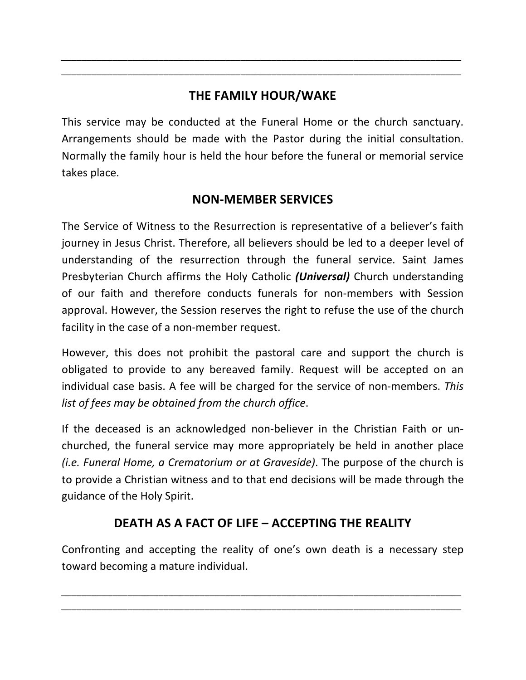# THE FAMILY HOUR/WAKE

*\_\_\_\_\_\_\_\_\_\_\_\_\_\_\_\_\_\_\_\_\_\_\_\_\_\_\_\_\_\_\_\_\_\_\_\_\_\_\_\_\_\_\_\_\_\_\_\_\_\_\_\_\_\_\_\_\_\_\_\_\_\_\_\_\_\_\_\_\_\_\_\_\_\_\_\_\_\_ \_\_\_\_\_\_\_\_\_\_\_\_\_\_\_\_\_\_\_\_\_\_\_\_\_\_\_\_\_\_\_\_\_\_\_\_\_\_\_\_\_\_\_\_\_\_\_\_\_\_\_\_\_\_\_\_\_\_\_\_\_\_\_\_\_\_\_\_\_\_\_\_\_\_\_\_\_\_*

This service may be conducted at the Funeral Home or the church sanctuary. Arrangements should be made with the Pastor during the initial consultation. Normally the family hour is held the hour before the funeral or memorial service takes place.

### **NON-MEMBER SERVICES**

The Service of Witness to the Resurrection is representative of a believer's faith journey in Jesus Christ. Therefore, all believers should be led to a deeper level of understanding of the resurrection through the funeral service. Saint James Presbyterian Church affirms the Holy Catholic *(Universal)* Church understanding of our faith and therefore conducts funerals for non-members with Session approval. However, the Session reserves the right to refuse the use of the church facility in the case of a non-member request.

However, this does not prohibit the pastoral care and support the church is obligated to provide to any bereaved family. Request will be accepted on an individual case basis. A fee will be charged for the service of non-members. This list of fees may be obtained from the church office.

If the deceased is an acknowledged non-believer in the Christian Faith or unchurched, the funeral service may more appropriately be held in another place *(i.e. Funeral Home, a Crematorium or at Graveside)*. The purpose of the church is to provide a Christian witness and to that end decisions will be made through the guidance of the Holy Spirit.

# **DEATH AS A FACT OF LIFE – ACCEPTING THE REALITY**

Confronting and accepting the reality of one's own death is a necessary step toward becoming a mature individual.

*\_\_\_\_\_\_\_\_\_\_\_\_\_\_\_\_\_\_\_\_\_\_\_\_\_\_\_\_\_\_\_\_\_\_\_\_\_\_\_\_\_\_\_\_\_\_\_\_\_\_\_\_\_\_\_\_\_\_\_\_\_\_\_\_\_\_\_\_\_\_\_\_\_\_\_\_\_\_ \_\_\_\_\_\_\_\_\_\_\_\_\_\_\_\_\_\_\_\_\_\_\_\_\_\_\_\_\_\_\_\_\_\_\_\_\_\_\_\_\_\_\_\_\_\_\_\_\_\_\_\_\_\_\_\_\_\_\_\_\_\_\_\_\_\_\_\_\_\_\_\_\_\_\_\_\_\_*